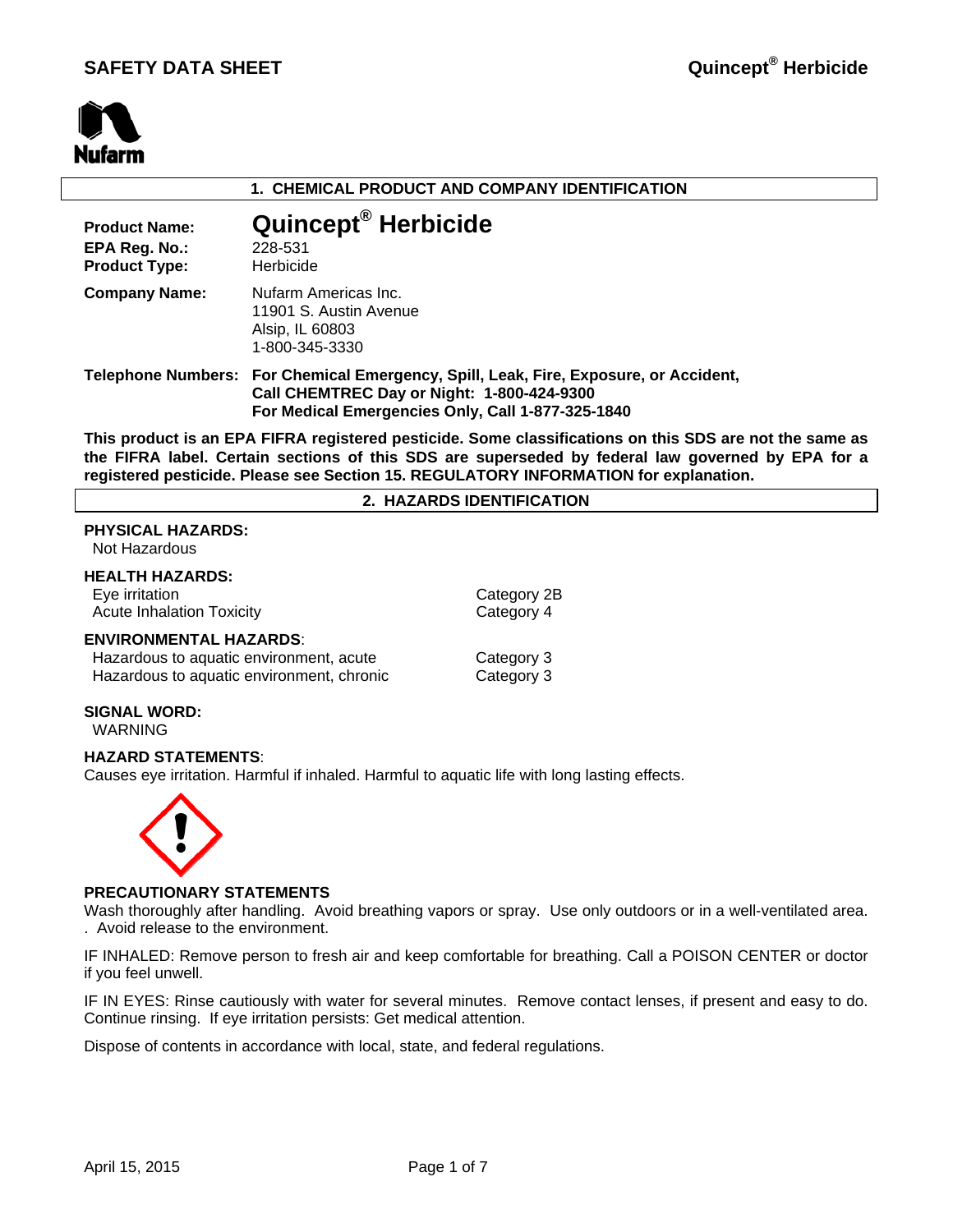

### **1. CHEMICAL PRODUCT AND COMPANY IDENTIFICATION**

| <b>Product Name:</b><br>EPA Reg. No.:<br><b>Product Type:</b> | Quincept <sup>®</sup> Herbicide<br>228-531<br>Herbicide                                                                                                                                 |
|---------------------------------------------------------------|-----------------------------------------------------------------------------------------------------------------------------------------------------------------------------------------|
| <b>Company Name:</b>                                          | Nufarm Americas Inc.<br>11901 S. Austin Avenue<br>Alsip, IL 60803<br>1-800-345-3330                                                                                                     |
|                                                               | Telephone Numbers: For Chemical Emergency, Spill, Leak, Fire, Exposure, or Accident,<br>Call CHEMTREC Day or Night: 1-800-424-9300<br>For Medical Emergencies Only, Call 1-877-325-1840 |

**This product is an EPA FIFRA registered pesticide. Some classifications on this SDS are not the same as the FIFRA label. Certain sections of this SDS are superseded by federal law governed by EPA for a registered pesticide. Please see Section 15. REGULATORY INFORMATION for explanation.**

#### **2. HAZARDS IDENTIFICATION**

### **PHYSICAL HAZARDS:**

Not Hazardous

### **HEALTH HAZARDS:**

Eye irritation Category 2B Acute Inhalation Toxicity **Category 4** 

#### **ENVIRONMENTAL HAZARDS**:

| Hazardous to aquatic environment, acute   | Category 3 |
|-------------------------------------------|------------|
| Hazardous to aquatic environment, chronic | Category 3 |

### **SIGNAL WORD:**

WARNING

### **HAZARD STATEMENTS**:

Causes eye irritation. Harmful if inhaled. Harmful to aquatic life with long lasting effects.



### **PRECAUTIONARY STATEMENTS**

Wash thoroughly after handling. Avoid breathing vapors or spray. Use only outdoors or in a well-ventilated area. . Avoid release to the environment.

IF INHALED: Remove person to fresh air and keep comfortable for breathing. Call a POISON CENTER or doctor if you feel unwell.

IF IN EYES: Rinse cautiously with water for several minutes. Remove contact lenses, if present and easy to do. Continue rinsing. If eye irritation persists: Get medical attention.

Dispose of contents in accordance with local, state, and federal regulations.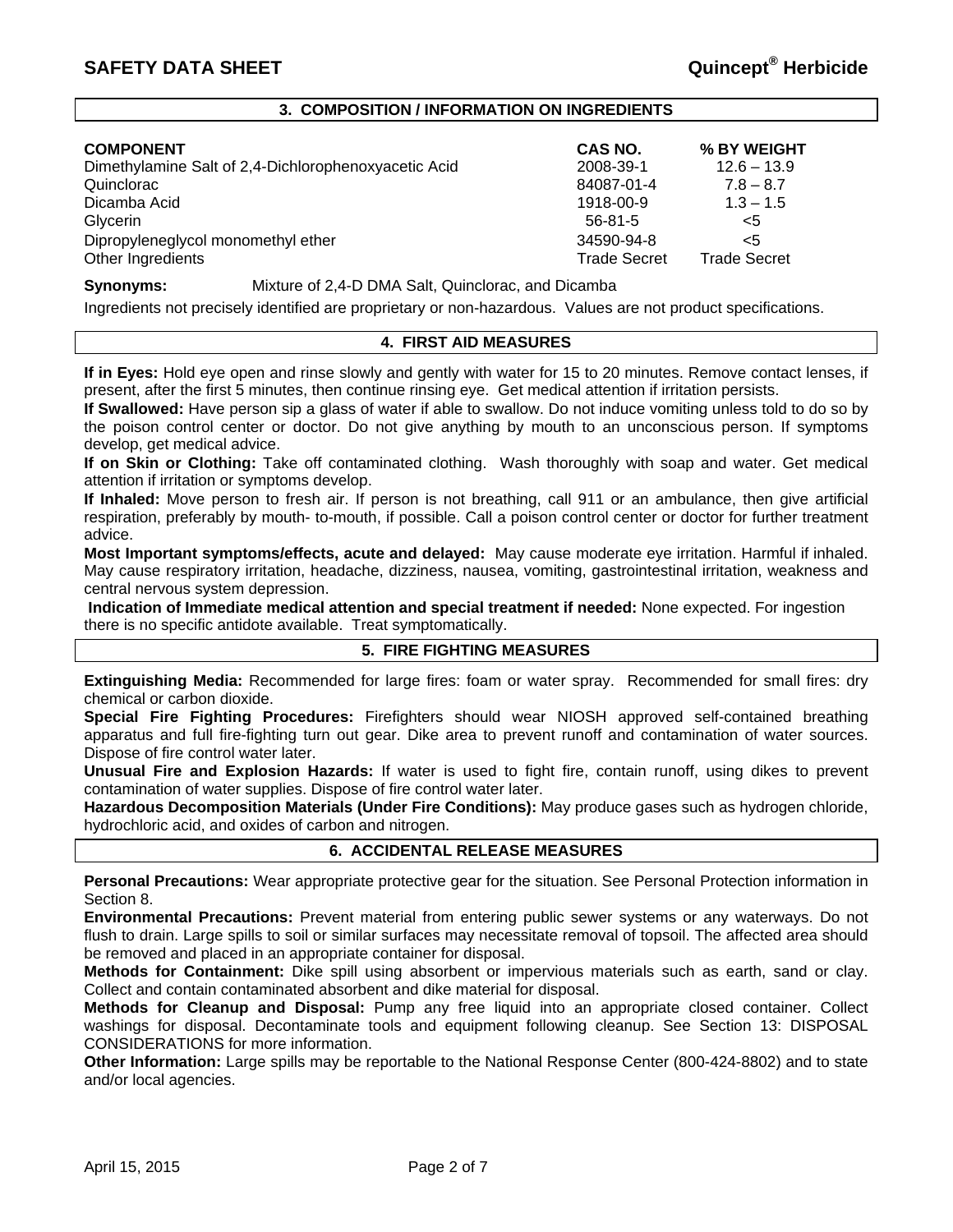### **3. COMPOSITION / INFORMATION ON INGREDIENTS**

| <b>COMPONENT</b>                                     | CAS NO.             | % BY WEIGHT         |
|------------------------------------------------------|---------------------|---------------------|
| Dimethylamine Salt of 2,4-Dichlorophenoxyacetic Acid | 2008-39-1           | $12.6 - 13.9$       |
| Quinclorac                                           | 84087-01-4          | $7.8 - 8.7$         |
| Dicamba Acid                                         | 1918-00-9           | $1.3 - 1.5$         |
| Glycerin                                             | $56 - 81 - 5$       | $<$ 5               |
| Dipropyleneglycol monomethyl ether                   | 34590-94-8          | $<$ 5               |
| Other Ingredients                                    | <b>Trade Secret</b> | <b>Trade Secret</b> |

**Synonyms:** Mixture of 2,4-D DMA Salt, Quinclorac, and Dicamba

Ingredients not precisely identified are proprietary or non-hazardous. Values are not product specifications.

### **4. FIRST AID MEASURES**

**If in Eyes:** Hold eye open and rinse slowly and gently with water for 15 to 20 minutes. Remove contact lenses, if present, after the first 5 minutes, then continue rinsing eye. Get medical attention if irritation persists.

**If Swallowed:** Have person sip a glass of water if able to swallow. Do not induce vomiting unless told to do so by the poison control center or doctor. Do not give anything by mouth to an unconscious person. If symptoms develop, get medical advice.

**If on Skin or Clothing:** Take off contaminated clothing. Wash thoroughly with soap and water. Get medical attention if irritation or symptoms develop.

**If Inhaled:** Move person to fresh air. If person is not breathing, call 911 or an ambulance, then give artificial respiration, preferably by mouth- to-mouth, if possible. Call a poison control center or doctor for further treatment advice.

**Most Important symptoms/effects, acute and delayed:** May cause moderate eye irritation. Harmful if inhaled. May cause respiratory irritation, headache, dizziness, nausea, vomiting, gastrointestinal irritation, weakness and central nervous system depression.

**Indication of Immediate medical attention and special treatment if needed:** None expected. For ingestion there is no specific antidote available. Treat symptomatically.

### **5. FIRE FIGHTING MEASURES**

**Extinguishing Media:** Recommended for large fires: foam or water spray. Recommended for small fires: dry chemical or carbon dioxide.

**Special Fire Fighting Procedures:** Firefighters should wear NIOSH approved self-contained breathing apparatus and full fire-fighting turn out gear. Dike area to prevent runoff and contamination of water sources. Dispose of fire control water later.

**Unusual Fire and Explosion Hazards:** If water is used to fight fire, contain runoff, using dikes to prevent contamination of water supplies. Dispose of fire control water later.

**Hazardous Decomposition Materials (Under Fire Conditions):** May produce gases such as hydrogen chloride, hydrochloric acid, and oxides of carbon and nitrogen.

### **6. ACCIDENTAL RELEASE MEASURES**

**Personal Precautions:** Wear appropriate protective gear for the situation. See Personal Protection information in Section 8.

**Environmental Precautions:** Prevent material from entering public sewer systems or any waterways. Do not flush to drain. Large spills to soil or similar surfaces may necessitate removal of topsoil. The affected area should be removed and placed in an appropriate container for disposal.

**Methods for Containment:** Dike spill using absorbent or impervious materials such as earth, sand or clay. Collect and contain contaminated absorbent and dike material for disposal.

**Methods for Cleanup and Disposal:** Pump any free liquid into an appropriate closed container. Collect washings for disposal. Decontaminate tools and equipment following cleanup. See Section 13: DISPOSAL CONSIDERATIONS for more information.

**Other Information:** Large spills may be reportable to the National Response Center (800-424-8802) and to state and/or local agencies.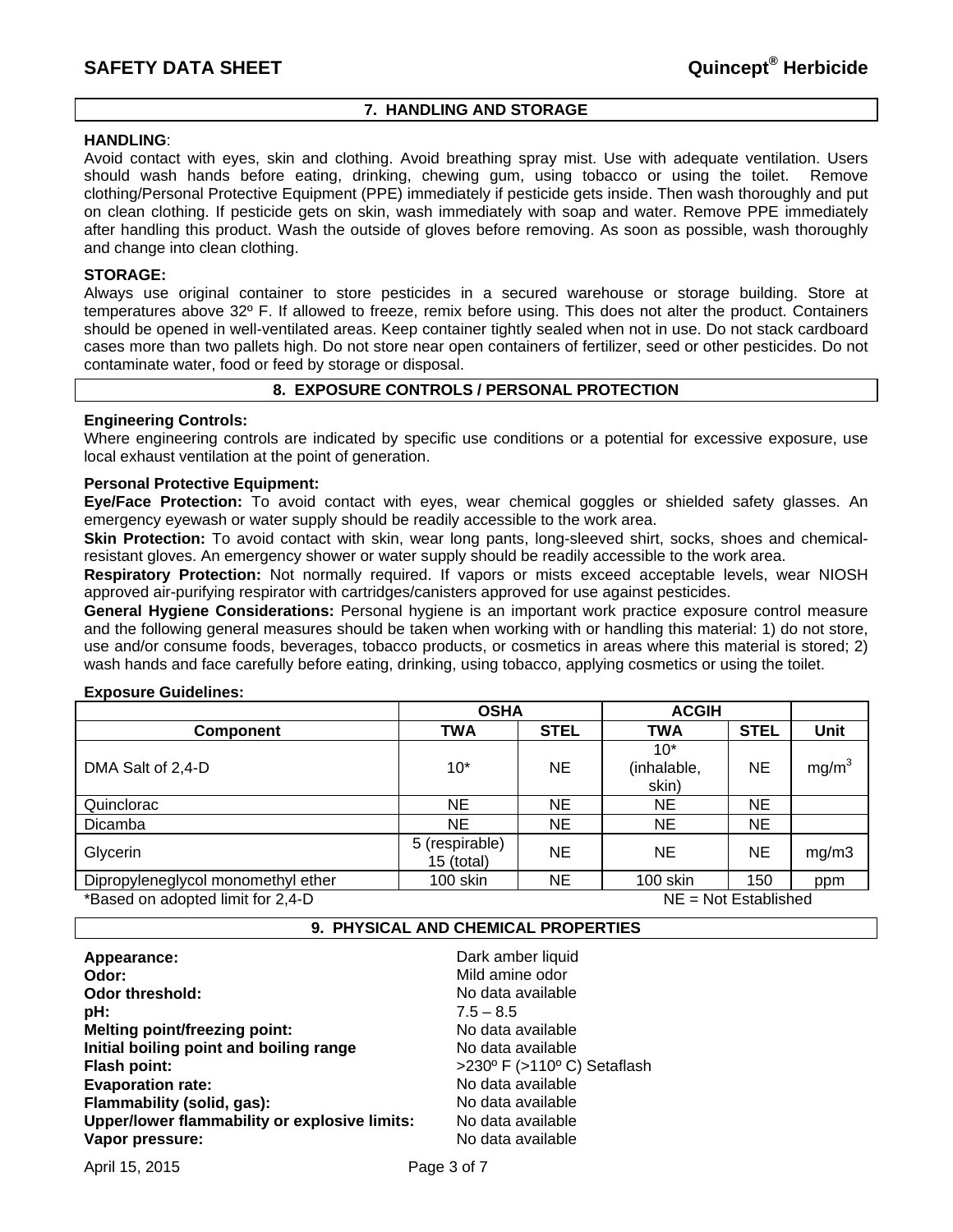### **7. HANDLING AND STORAGE**

### **HANDLING**:

Avoid contact with eyes, skin and clothing. Avoid breathing spray mist. Use with adequate ventilation. Users should wash hands before eating, drinking, chewing gum, using tobacco or using the toilet. Remove clothing/Personal Protective Equipment (PPE) immediately if pesticide gets inside. Then wash thoroughly and put on clean clothing. If pesticide gets on skin, wash immediately with soap and water. Remove PPE immediately after handling this product. Wash the outside of gloves before removing. As soon as possible, wash thoroughly and change into clean clothing.

### **STORAGE:**

Always use original container to store pesticides in a secured warehouse or storage building. Store at temperatures above 32º F. If allowed to freeze, remix before using. This does not alter the product. Containers should be opened in well-ventilated areas. Keep container tightly sealed when not in use. Do not stack cardboard cases more than two pallets high. Do not store near open containers of fertilizer, seed or other pesticides. Do not contaminate water, food or feed by storage or disposal.

### **8. EXPOSURE CONTROLS / PERSONAL PROTECTION**

### **Engineering Controls:**

Where engineering controls are indicated by specific use conditions or a potential for excessive exposure, use local exhaust ventilation at the point of generation.

### **Personal Protective Equipment:**

**Eye/Face Protection:** To avoid contact with eyes, wear chemical goggles or shielded safety glasses. An emergency eyewash or water supply should be readily accessible to the work area.

**Skin Protection:** To avoid contact with skin, wear long pants, long-sleeved shirt, socks, shoes and chemicalresistant gloves. An emergency shower or water supply should be readily accessible to the work area.

**Respiratory Protection:** Not normally required. If vapors or mists exceed acceptable levels, wear NIOSH approved air-purifying respirator with cartridges/canisters approved for use against pesticides.

**General Hygiene Considerations:** Personal hygiene is an important work practice exposure control measure and the following general measures should be taken when working with or handling this material: 1) do not store, use and/or consume foods, beverages, tobacco products, or cosmetics in areas where this material is stored; 2) wash hands and face carefully before eating, drinking, using tobacco, applying cosmetics or using the toilet.

### **Exposure Guidelines:**

|                                    | <b>OSHA</b>                  |             | <b>ACGIH</b>                  |             |                   |
|------------------------------------|------------------------------|-------------|-------------------------------|-------------|-------------------|
| <b>Component</b>                   | TWA                          | <b>STEL</b> | <b>TWA</b>                    | <b>STEL</b> | Unit              |
| DMA Salt of 2,4-D                  | $10*$                        | <b>NE</b>   | $10*$<br>(inhalable,<br>skin) | <b>NE</b>   | mg/m <sup>3</sup> |
| Quinclorac                         | NE.                          | <b>NE</b>   | <b>NE</b>                     | <b>NE</b>   |                   |
| Dicamba                            | NE.                          | NE.         | <b>NE</b>                     | NE.         |                   |
| Glycerin                           | 5 (respirable)<br>15 (total) | NE.         | <b>NE</b>                     | <b>NE</b>   | mg/m3             |
| Dipropyleneglycol monomethyl ether | 100 skin                     | NE.         | 100 skin                      | 150         | ppm               |
| *Based on adopted limit for 2,4-D  | $NE = Not$ Established       |             |                               |             |                   |

### **9. PHYSICAL AND CHEMICAL PROPERTIES**

| Appearance:                                   | Dark amber liquid                              |
|-----------------------------------------------|------------------------------------------------|
| Odor:                                         | Mild amine odor                                |
| <b>Odor threshold:</b>                        | No data available                              |
| pH:                                           | $7.5 - 8.5$                                    |
| <b>Melting point/freezing point:</b>          | No data available                              |
| Initial boiling point and boiling range       | No data available                              |
| Flash point:                                  | $>230^{\circ}$ F ( $>110^{\circ}$ C) Setaflash |
| <b>Evaporation rate:</b>                      | No data available                              |
| Flammability (solid, gas):                    | No data available                              |
| Upper/lower flammability or explosive limits: | No data available                              |
| Vapor pressure:                               | No data available                              |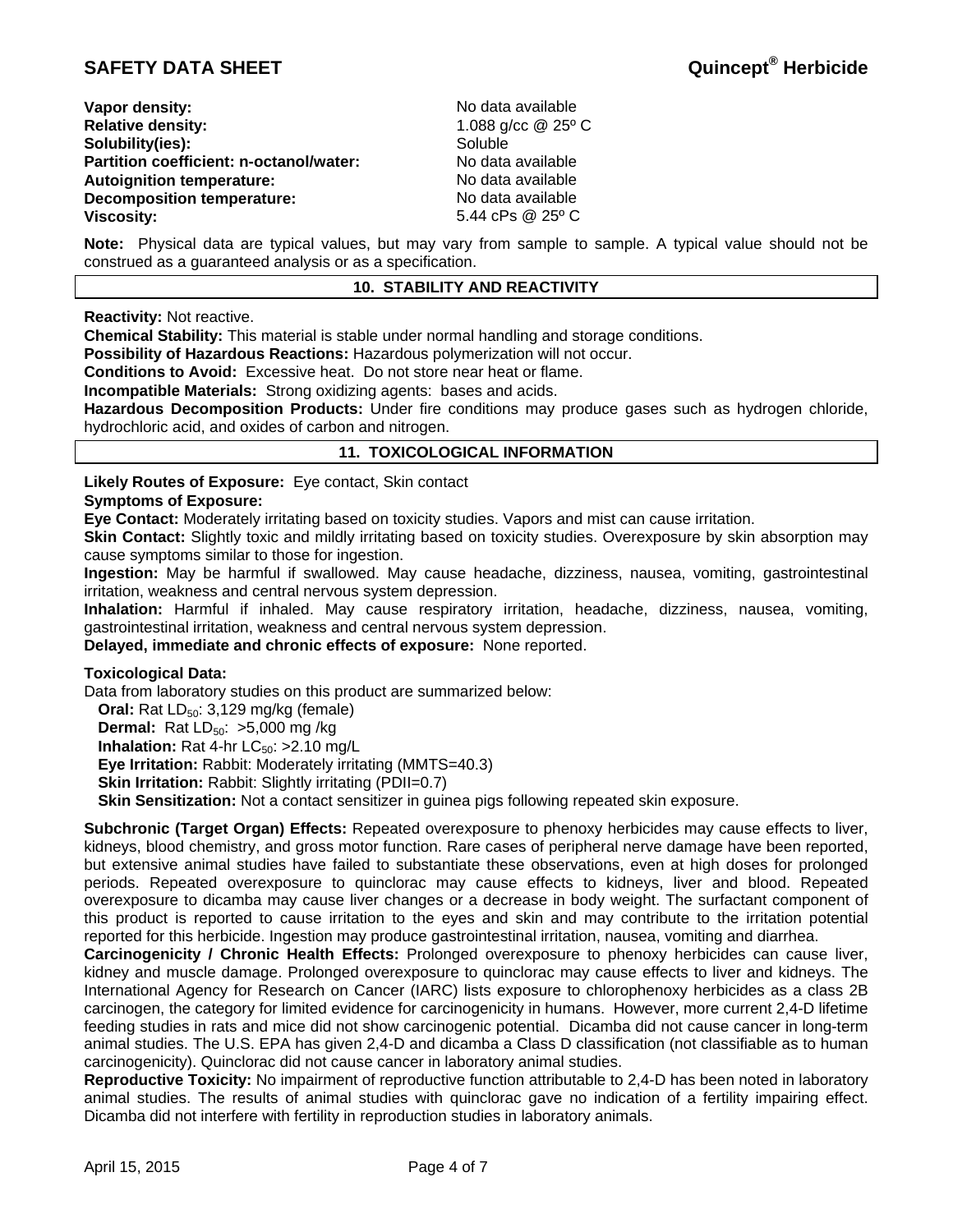| Vapor density:                          |  |
|-----------------------------------------|--|
| <b>Relative density:</b>                |  |
| Solubility(ies):                        |  |
| Partition coefficient: n-octanol/water: |  |
| <b>Autoignition temperature:</b>        |  |
| <b>Decomposition temperature:</b>       |  |
| Viscosity:                              |  |

**Vapor density:** No data available **Relative density:** 1.088 g/cc @ 25º C **Soluble No data available Autoignition temperature:** No data available **Decomposition temperature:** No data available **Viscosity:** 5.44 cPs @ 25º C

**Note:** Physical data are typical values, but may vary from sample to sample. A typical value should not be construed as a guaranteed analysis or as a specification.

### **10. STABILITY AND REACTIVITY**

**Reactivity:** Not reactive.

**Chemical Stability:** This material is stable under normal handling and storage conditions.

**Possibility of Hazardous Reactions:** Hazardous polymerization will not occur.

**Conditions to Avoid:** Excessive heat. Do not store near heat or flame.

**Incompatible Materials:** Strong oxidizing agents: bases and acids.

**Hazardous Decomposition Products:** Under fire conditions may produce gases such as hydrogen chloride, hydrochloric acid, and oxides of carbon and nitrogen.

### **11. TOXICOLOGICAL INFORMATION**

**Likely Routes of Exposure:** Eye contact, Skin contact

### **Symptoms of Exposure:**

**Eye Contact:** Moderately irritating based on toxicity studies. Vapors and mist can cause irritation.

**Skin Contact:** Slightly toxic and mildly irritating based on toxicity studies. Overexposure by skin absorption may cause symptoms similar to those for ingestion.

**Ingestion:** May be harmful if swallowed. May cause headache, dizziness, nausea, vomiting, gastrointestinal irritation, weakness and central nervous system depression.

**Inhalation:** Harmful if inhaled. May cause respiratory irritation, headache, dizziness, nausea, vomiting, gastrointestinal irritation, weakness and central nervous system depression.

**Delayed, immediate and chronic effects of exposure:** None reported.

### **Toxicological Data:**

Data from laboratory studies on this product are summarized below:

**Oral:** Rat LD<sub>50</sub>: 3,129 mg/kg (female)

**Dermal:** Rat LD<sub>50</sub>: >5,000 mg /kg

**Inhalation:** Rat 4-hr  $LC_{50}$ :  $>2.10$  mg/L

**Eye Irritation:** Rabbit: Moderately irritating (MMTS=40.3)

**Skin Irritation:** Rabbit: Slightly irritating (PDII=0.7)

**Skin Sensitization:** Not a contact sensitizer in guinea pigs following repeated skin exposure.

**Subchronic (Target Organ) Effects:** Repeated overexposure to phenoxy herbicides may cause effects to liver, kidneys, blood chemistry, and gross motor function. Rare cases of peripheral nerve damage have been reported, but extensive animal studies have failed to substantiate these observations, even at high doses for prolonged periods. Repeated overexposure to quinclorac may cause effects to kidneys, liver and blood. Repeated overexposure to dicamba may cause liver changes or a decrease in body weight. The surfactant component of this product is reported to cause irritation to the eyes and skin and may contribute to the irritation potential reported for this herbicide. Ingestion may produce gastrointestinal irritation, nausea, vomiting and diarrhea.

**Carcinogenicity / Chronic Health Effects:** Prolonged overexposure to phenoxy herbicides can cause liver, kidney and muscle damage. Prolonged overexposure to quinclorac may cause effects to liver and kidneys. The International Agency for Research on Cancer (IARC) lists exposure to chlorophenoxy herbicides as a class 2B carcinogen, the category for limited evidence for carcinogenicity in humans. However, more current 2,4-D lifetime feeding studies in rats and mice did not show carcinogenic potential. Dicamba did not cause cancer in long-term animal studies. The U.S. EPA has given 2,4-D and dicamba a Class D classification (not classifiable as to human carcinogenicity). Quinclorac did not cause cancer in laboratory animal studies.

**Reproductive Toxicity:** No impairment of reproductive function attributable to 2,4-D has been noted in laboratory animal studies. The results of animal studies with quinclorac gave no indication of a fertility impairing effect. Dicamba did not interfere with fertility in reproduction studies in laboratory animals.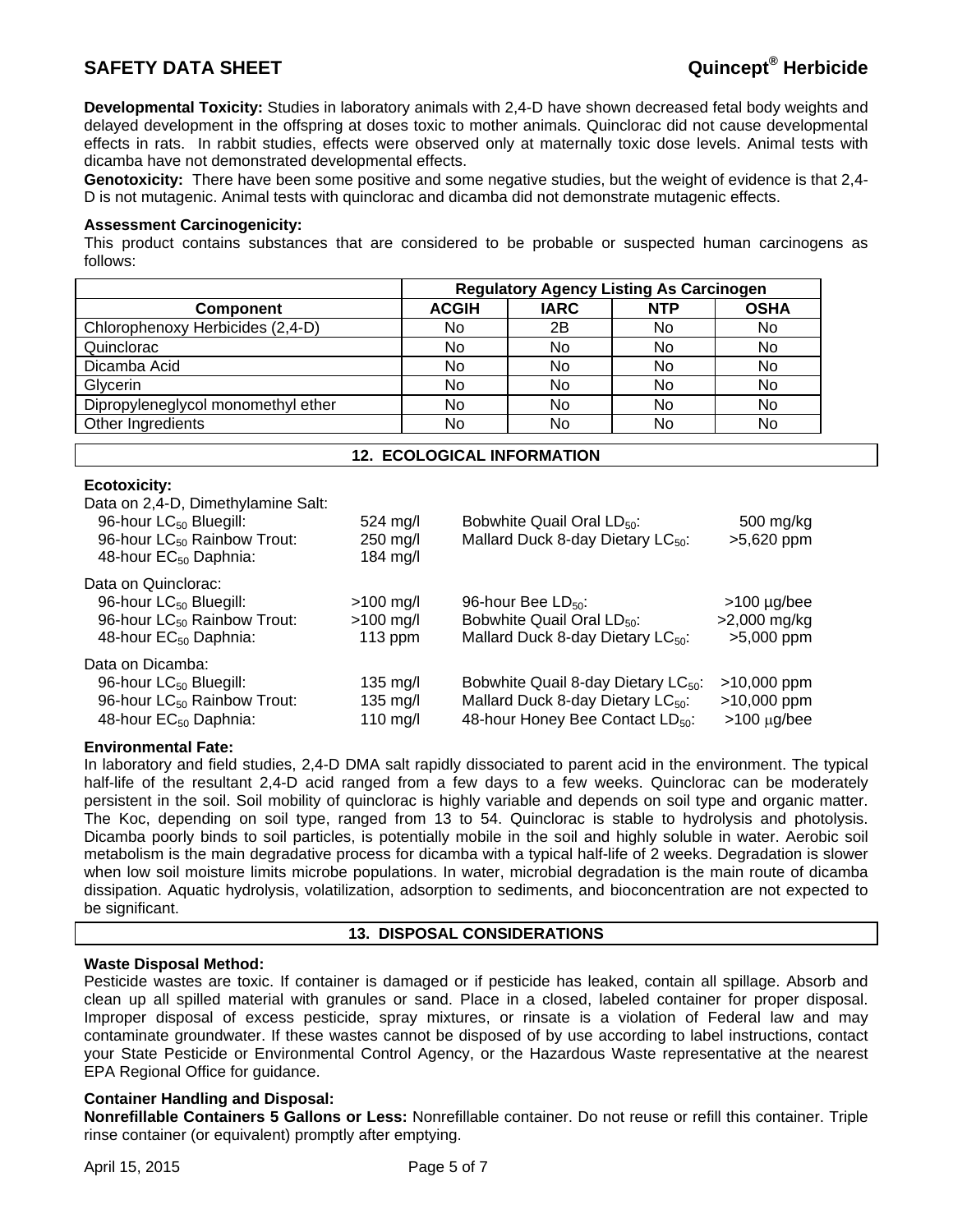**Developmental Toxicity:** Studies in laboratory animals with 2,4-D have shown decreased fetal body weights and delayed development in the offspring at doses toxic to mother animals. Quinclorac did not cause developmental effects in rats. In rabbit studies, effects were observed only at maternally toxic dose levels. Animal tests with dicamba have not demonstrated developmental effects.

**Genotoxicity:** There have been some positive and some negative studies, but the weight of evidence is that 2,4- D is not mutagenic. Animal tests with quinclorac and dicamba did not demonstrate mutagenic effects.

### **Assessment Carcinogenicity:**

This product contains substances that are considered to be probable or suspected human carcinogens as follows:

|                                    | <b>Regulatory Agency Listing As Carcinogen</b> |             |            |             |
|------------------------------------|------------------------------------------------|-------------|------------|-------------|
| <b>Component</b>                   | <b>ACGIH</b>                                   | <b>IARC</b> | <b>NTP</b> | <b>OSHA</b> |
| Chlorophenoxy Herbicides (2,4-D)   | No                                             | 2B          | No         | No          |
| Quinclorac                         | No                                             | No          | No         | No          |
| Dicamba Acid                       | No                                             | No          | No         | No          |
| Glycerin                           | No                                             | No          | No         | No          |
| Dipropyleneglycol monomethyl ether | No                                             | No          | No         | No          |
| Other Ingredients                  | No                                             | No          | No         | No          |

### **12. ECOLOGICAL INFORMATION**

### **Ecotoxicity:**

| Data on 2,4-D, Dimethylamine Salt:<br>96-hour LC <sub>50</sub> Bluegill:<br>96-hour LC <sub>50</sub> Rainbow Trout: | $524 \text{ mol}$<br>$250$ mg/l | Bobwhite Quail Oral LD <sub>50</sub> :<br>Mallard Duck 8-day Dietary LC <sub>50</sub> : | 500 mg/kg<br>>5,620 ppm |
|---------------------------------------------------------------------------------------------------------------------|---------------------------------|-----------------------------------------------------------------------------------------|-------------------------|
| 48-hour EC <sub>50</sub> Daphnia:                                                                                   | 184 mg/l                        |                                                                                         |                         |
| Data on Quinclorac:                                                                                                 |                                 |                                                                                         |                         |
| 96-hour LC <sub>50</sub> Bluegill:                                                                                  | $>100$ mg/l                     | 96-hour Bee $LD_{50}$ :                                                                 | $>100$ µg/bee           |
| 96-hour LC <sub>50</sub> Rainbow Trout:                                                                             | $>100$ mg/l                     | Bobwhite Quail Oral LD <sub>50</sub> :                                                  | $>2,000$ mg/kg          |
| 48-hour EC <sub>50</sub> Daphnia:                                                                                   | $113$ ppm                       | Mallard Duck 8-day Dietary $LC_{50}$ :                                                  | $>5,000$ ppm            |
| Data on Dicamba:                                                                                                    |                                 |                                                                                         |                         |
| 96-hour LC <sub>50</sub> Bluegill:                                                                                  | $135 \text{ mg/l}$              | Bobwhite Quail 8-day Dietary LC <sub>50</sub> :                                         | $>10,000$ ppm           |
| 96-hour LC <sub>50</sub> Rainbow Trout:                                                                             | $135 \text{ mg/l}$              | Mallard Duck 8-day Dietary LC <sub>50</sub> :                                           | $>10,000$ ppm           |
| 48-hour EC <sub>50</sub> Daphnia:                                                                                   | 110 mg/l                        | 48-hour Honey Bee Contact LD <sub>50</sub> :                                            | $>100 \mu g/bee$        |
|                                                                                                                     |                                 |                                                                                         |                         |

### **Environmental Fate:**

In laboratory and field studies, 2,4-D DMA salt rapidly dissociated to parent acid in the environment. The typical half-life of the resultant 2,4-D acid ranged from a few days to a few weeks. Quinclorac can be moderately persistent in the soil. Soil mobility of quinclorac is highly variable and depends on soil type and organic matter. The Koc, depending on soil type, ranged from 13 to 54. Quinclorac is stable to hydrolysis and photolysis. Dicamba poorly binds to soil particles, is potentially mobile in the soil and highly soluble in water. Aerobic soil metabolism is the main degradative process for dicamba with a typical half-life of 2 weeks. Degradation is slower when low soil moisture limits microbe populations. In water, microbial degradation is the main route of dicamba dissipation. Aquatic hydrolysis, volatilization, adsorption to sediments, and bioconcentration are not expected to be significant.

### **13. DISPOSAL CONSIDERATIONS**

### **Waste Disposal Method:**

Pesticide wastes are toxic. If container is damaged or if pesticide has leaked, contain all spillage. Absorb and clean up all spilled material with granules or sand. Place in a closed, labeled container for proper disposal. Improper disposal of excess pesticide, spray mixtures, or rinsate is a violation of Federal law and may contaminate groundwater. If these wastes cannot be disposed of by use according to label instructions, contact your State Pesticide or Environmental Control Agency, or the Hazardous Waste representative at the nearest EPA Regional Office for guidance.

### **Container Handling and Disposal:**

**Nonrefillable Containers 5 Gallons or Less:** Nonrefillable container. Do not reuse or refill this container. Triple rinse container (or equivalent) promptly after emptying.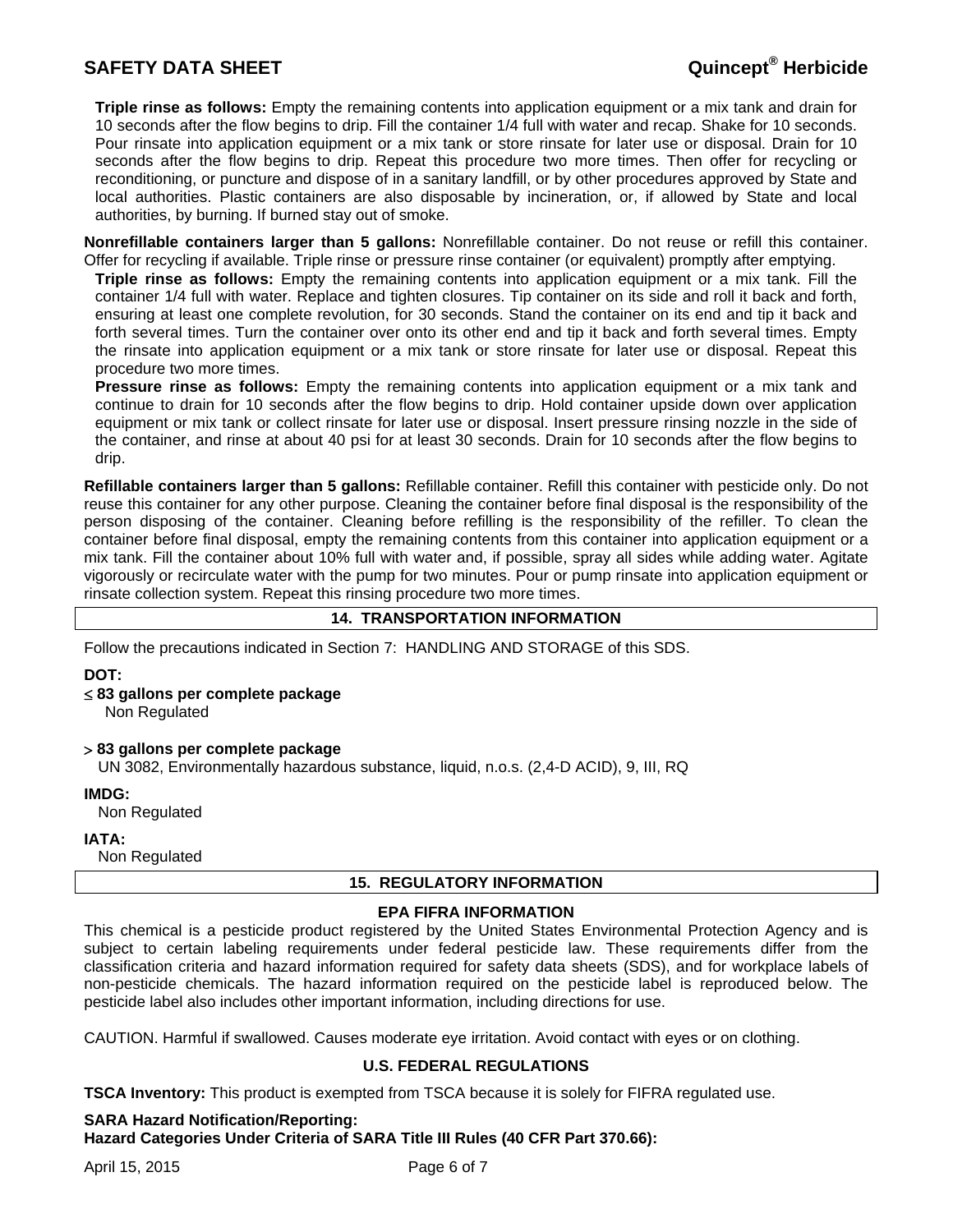**Triple rinse as follows:** Empty the remaining contents into application equipment or a mix tank and drain for 10 seconds after the flow begins to drip. Fill the container 1/4 full with water and recap. Shake for 10 seconds. Pour rinsate into application equipment or a mix tank or store rinsate for later use or disposal. Drain for 10 seconds after the flow begins to drip. Repeat this procedure two more times. Then offer for recycling or reconditioning, or puncture and dispose of in a sanitary landfill, or by other procedures approved by State and local authorities. Plastic containers are also disposable by incineration, or, if allowed by State and local authorities, by burning. If burned stay out of smoke.

**Nonrefillable containers larger than 5 gallons:** Nonrefillable container. Do not reuse or refill this container. Offer for recycling if available. Triple rinse or pressure rinse container (or equivalent) promptly after emptying.

**Triple rinse as follows:** Empty the remaining contents into application equipment or a mix tank. Fill the container 1/4 full with water. Replace and tighten closures. Tip container on its side and roll it back and forth, ensuring at least one complete revolution, for 30 seconds. Stand the container on its end and tip it back and forth several times. Turn the container over onto its other end and tip it back and forth several times. Empty the rinsate into application equipment or a mix tank or store rinsate for later use or disposal. Repeat this procedure two more times.

**Pressure rinse as follows:** Empty the remaining contents into application equipment or a mix tank and continue to drain for 10 seconds after the flow begins to drip. Hold container upside down over application equipment or mix tank or collect rinsate for later use or disposal. Insert pressure rinsing nozzle in the side of the container, and rinse at about 40 psi for at least 30 seconds. Drain for 10 seconds after the flow begins to drip.

**Refillable containers larger than 5 gallons:** Refillable container. Refill this container with pesticide only. Do not reuse this container for any other purpose. Cleaning the container before final disposal is the responsibility of the person disposing of the container. Cleaning before refilling is the responsibility of the refiller. To clean the container before final disposal, empty the remaining contents from this container into application equipment or a mix tank. Fill the container about 10% full with water and, if possible, spray all sides while adding water. Agitate vigorously or recirculate water with the pump for two minutes. Pour or pump rinsate into application equipment or rinsate collection system. Repeat this rinsing procedure two more times.

### **14. TRANSPORTATION INFORMATION**

Follow the precautions indicated in Section 7: HANDLING AND STORAGE of this SDS.

**DOT:** 

- **83 gallons per complete package** Non Regulated
- **83 gallons per complete package**

UN 3082, Environmentally hazardous substance, liquid, n.o.s. (2,4-D ACID), 9, III, RQ

**IMDG:** 

Non Regulated

**IATA:** 

Non Regulated

### **15. REGULATORY INFORMATION**

### **EPA FIFRA INFORMATION**

This chemical is a pesticide product registered by the United States Environmental Protection Agency and is subject to certain labeling requirements under federal pesticide law. These requirements differ from the classification criteria and hazard information required for safety data sheets (SDS), and for workplace labels of non-pesticide chemicals. The hazard information required on the pesticide label is reproduced below. The pesticide label also includes other important information, including directions for use.

CAUTION. Harmful if swallowed. Causes moderate eye irritation. Avoid contact with eyes or on clothing.

### **U.S. FEDERAL REGULATIONS**

**TSCA Inventory:** This product is exempted from TSCA because it is solely for FIFRA regulated use.

### **SARA Hazard Notification/Reporting:**

**Hazard Categories Under Criteria of SARA Title III Rules (40 CFR Part 370.66):**